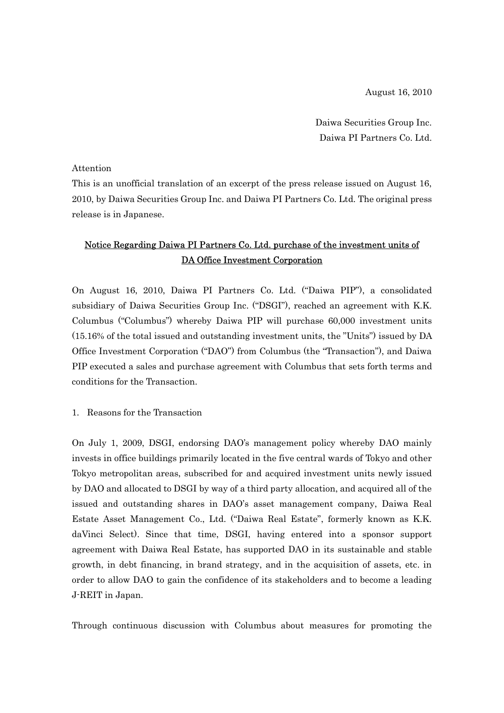August 16, 2010

Daiwa Securities Group Inc. Daiwa PI Partners Co. Ltd.

## Attention

This is an unofficial translation of an excerpt of the press release issued on August 16, 2010, by Daiwa Securities Group Inc. and Daiwa PI Partners Co. Ltd. The original press release is in Japanese.

## Notice Regarding Daiwa PI Partners Co. Ltd. purchase of the investment units of DA Office Investment Corporation

On August 16, 2010, Daiwa PI Partners Co. Ltd. ("Daiwa PIP"), a consolidated subsidiary of Daiwa Securities Group Inc. ("DSGI"), reached an agreement with K.K. Columbus ("Columbus") whereby Daiwa PIP will purchase 60,000 investment units (15.16% of the total issued and outstanding investment units, the "Units") issued by DA Office Investment Corporation ("DAO") from Columbus (the "Transaction"), and Daiwa PIP executed a sales and purchase agreement with Columbus that sets forth terms and conditions for the Transaction.

1. Reasons for the Transaction

On July 1, 2009, DSGI, endorsing DAO's management policy whereby DAO mainly invests in office buildings primarily located in the five central wards of Tokyo and other Tokyo metropolitan areas, subscribed for and acquired investment units newly issued by DAO and allocated to DSGI by way of a third party allocation, and acquired all of the issued and outstanding shares in DAO's asset management company, Daiwa Real Estate Asset Management Co., Ltd. ("Daiwa Real Estate", formerly known as K.K. daVinci Select). Since that time, DSGI, having entered into a sponsor support agreement with Daiwa Real Estate, has supported DAO in its sustainable and stable growth, in debt financing, in brand strategy, and in the acquisition of assets, etc. in order to allow DAO to gain the confidence of its stakeholders and to become a leading J-REIT in Japan.

Through continuous discussion with Columbus about measures for promoting the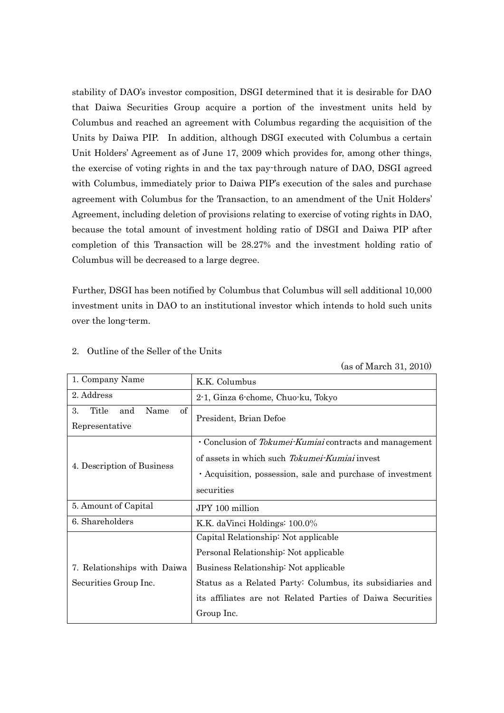stability of DAO's investor composition, DSGI determined that it is desirable for DAO that Daiwa Securities Group acquire a portion of the investment units held by Columbus and reached an agreement with Columbus regarding the acquisition of the Units by Daiwa PIP. In addition, although DSGI executed with Columbus a certain Unit Holders' Agreement as of June 17, 2009 which provides for, among other things, the exercise of voting rights in and the tax pay-through nature of DAO, DSGI agreed with Columbus, immediately prior to Daiwa PIP's execution of the sales and purchase agreement with Columbus for the Transaction, to an amendment of the Unit Holders' Agreement, including deletion of provisions relating to exercise of voting rights in DAO, because the total amount of investment holding ratio of DSGI and Daiwa PIP after completion of this Transaction will be 28.27% and the investment holding ratio of Columbus will be decreased to a large degree.

Further, DSGI has been notified by Columbus that Columbus will sell additional 10,000 investment units in DAO to an institutional investor which intends to hold such units over the long-term.

| 1. Company Name                          | K.K. Columbus                                              |  |  |  |
|------------------------------------------|------------------------------------------------------------|--|--|--|
| 2. Address                               | 2-1, Ginza 6-chome, Chuo-ku, Tokyo                         |  |  |  |
| $\sigma f$<br>Title<br>3.<br>Name<br>and | President, Brian Defoe                                     |  |  |  |
| Representative                           |                                                            |  |  |  |
|                                          | • Conclusion of Tokumei-Kumiai contracts and management    |  |  |  |
|                                          | of assets in which such <i>Tokumei-Kumiai</i> invest       |  |  |  |
| 4. Description of Business               | • Acquisition, possession, sale and purchase of investment |  |  |  |
|                                          | securities                                                 |  |  |  |
| 5. Amount of Capital                     | JPY 100 million                                            |  |  |  |
| 6. Shareholders                          | K.K. daVinci Holdings: 100.0%                              |  |  |  |
|                                          | Capital Relationship: Not applicable                       |  |  |  |
|                                          | Personal Relationship: Not applicable                      |  |  |  |
| 7. Relationships with Daiwa              | Business Relationship: Not applicable                      |  |  |  |
| Securities Group Inc.                    | Status as a Related Party: Columbus, its subsidiaries and  |  |  |  |
|                                          | its affiliates are not Related Parties of Daiwa Securities |  |  |  |
|                                          | Group Inc.                                                 |  |  |  |

## 2. Outline of the Seller of the Units

(as of March 31, 2010)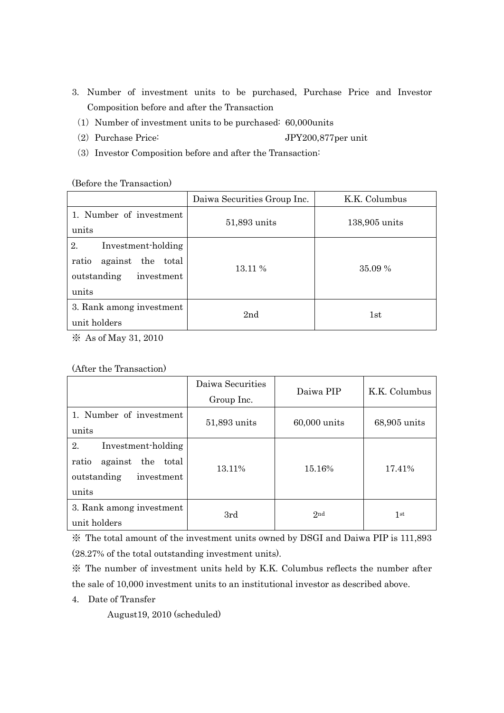- 3. Number of investment units to be purchased, Purchase Price and Investor Composition before and after the Transaction
	- (1) Number of investment units to be purchased:  $60,000$ units
	- (2) Purchase Price: JPY200,877per unit
	- (3) Investor Composition before and after the Transaction:

(Before the Transaction)

|                                                                                              | Daiwa Securities Group Inc. | K.K. Columbus |  |
|----------------------------------------------------------------------------------------------|-----------------------------|---------------|--|
| 1. Number of investment<br>units                                                             | 51,893 units                | 138,905 units |  |
| 2.<br>Investment-holding<br>against the total<br>ratio<br>outstanding<br>investment<br>units | 13.11 %                     | 35.09 %       |  |
| 3. Rank among investment<br>unit holders                                                     | 2 <sub>nd</sub>             | 1st           |  |

※ As of May 31, 2010

| (After the Transaction) |  |
|-------------------------|--|
|-------------------------|--|

|                                                                                                 | Daiwa Securities<br>Group Inc. | Daiwa PIP    | K.K. Columbus |
|-------------------------------------------------------------------------------------------------|--------------------------------|--------------|---------------|
| 1. Number of investment<br>units                                                                | 51,893 units                   | 60,000 units | 68,905 units  |
| 2.<br>Investment-holding<br>total<br>ratio<br>against the<br>outstanding<br>investment<br>units | 13.11\%                        | 15.16%       | 17.41%        |
| 3. Rank among investment<br>unit holders                                                        | 3rd                            | 2nd          | 1st           |

※ The total amount of the investment units owned by DSGI and Daiwa PIP is 111,893 (28.27% of the total outstanding investment units).

※ The number of investment units held by K.K. Columbus reflects the number after the sale of 10,000 investment units to an institutional investor as described above.

4. Date of Transfer

August19, 2010 (scheduled)